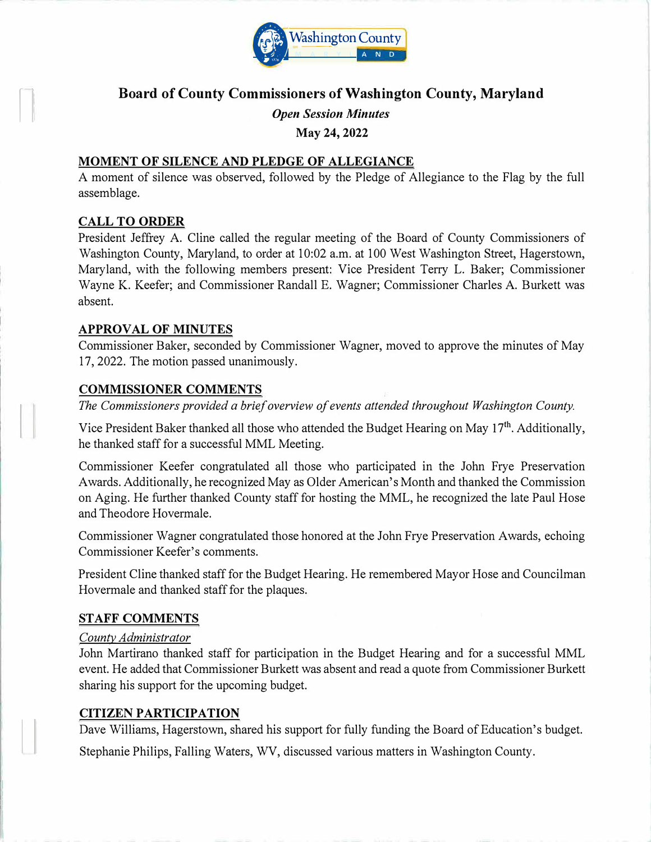

# **Board of County Commissioners of Washington County, Maryland**

*Open Session Minutes* 

**May 24, 2022** 

#### **MOMENT OF SILENCE AND PLEDGE OF ALLEGIANCE**

A moment of silence was observed, followed by the Pledge of Allegiance to the Flag by the full assemblage.

#### **CALL TO ORDER**

 $\left\lfloor \frac{1}{\sqrt{2}} \right\rfloor$ 

President Jeffrey A. Cline called the regular meeting of the Board of County Commissioners of Washington County, Maryland, to order at 10:02 a.m. at 100 West Washington Street, Hagerstown, Maryland, with the following members present: Vice President Terry L. Baker; Commissioner Wayne K. Keefer; and Commissioner Randall E. Wagner; Commissioner Charles A. Burkett was absent.

#### **APPROVAL OF MINUTES**

Commissioner Baker, seconded by Commissioner Wagner, moved to approve the minutes of May 17, 2022. The motion passed unanimously.

#### **COMMISSIONER COMMENTS**

*The Commissioners provided a brief overview of events attended throughout Washington County.* 

Vice President Baker thanked all those who attended the Budget Hearing on May 17<sup>th</sup>. Additionally, he thanked staff for a successful MML Meeting.

Commissioner Keefer congratulated all those who participated in the John Frye Preservation Awards. Additionally, he recognized May as Older American's Month and thanked the Commission on Aging. He further thanked County staff for hosting the MML, he recognized the late Paul Hose and Theodore Hovermale.

Commissioner Wagner congratulated those honored at the John Frye Preservation Awards, echoing Commissioner Keefer's comments.

President Cline thanked staff for the Budget Hearing. He remembered Mayor Hose and Councilman Hovermale and thanked staff for the plaques.

## **STAFF COMMENTS**

#### *County Administrator*

John Martirano thanked staff for participation in the Budget Hearing and for a successful MML event. He added that Commissioner Burkett was absent and read a quote from Commissioner Burkett sharing his support for the upcoming budget.

#### **CITIZEN PARTICIPATION**

Dave Williams, Hagerstown, shared his support for fully funding the Board of Education's budget.

Stephanie Philips, Falling Waters, WV, discussed various matters in Washington County.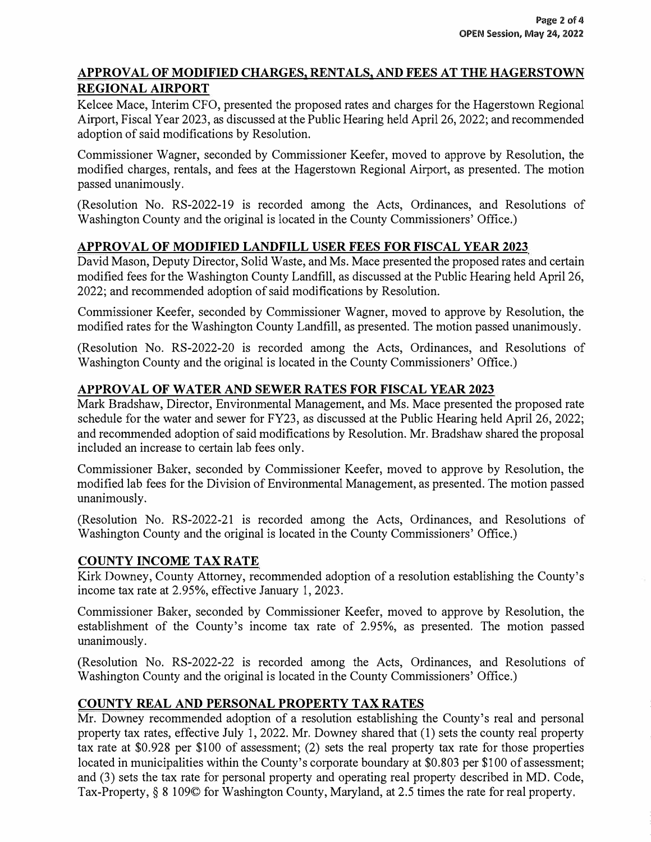## **APPROVAL OF MODIFIED CHARGES, RENTALS, AND FEES AT THE HAGERSTOWN REGIONAL AIRPORT**

Kelcee Mace, Interim CFO, presented the proposed rates and charges for the Hagerstown Regional Airport, Fiscal Year 2023, as discussed at the Public Hearing held April 26, 2022; and recommended adoption of said modifications by Resolution.

Commissioner Wagner, seconded by Commissioner Keefer, moved to approve by Resolution, the modified charges, rentals, and fees at the Hagerstown Regional Airport, as presented. The motion passed unanimously.

(Resolution No. RS-2022-19 is recorded among the Acts, Ordinances, and Resolutions of Washington County and the original is located in the County Commissioners' Office.)

## **APPROVAL OF MODIFIED LANDFILL USER FEES FOR FISCAL YEAR 2023**

David Mason, Deputy Director, Solid Waste, and Ms. Mace presented the proposed rates and certain modified fees for the Washington County Landfill, as discussed at the Public Hearing held April 26, 2022; and recommended adoption of said modifications by Resolution.

Commissioner Keefer, seconded by Commissioner Wagner, moved to approve by Resolution, the modified rates for the Washington County Landfill, as presented. The motion passed unanimously.

(Resolution No. RS-2022-20 is recorded among the Acts, Ordinances, and Resolutions of Washington County and the original is located in the County Commissioners' Office.)

## **APPROVAL OF WATER AND SEWER RATES FOR FISCAL YEAR 2023**

Mark Bradshaw, Director, Enviromnental Management, and Ms. Mace presented the proposed rate schedule for the water and sewer for FY23, as discussed at the Public Hearing held April 26, 2022; and recommended adoption of said modifications by Resolution. Mr. Bradshaw shared the proposal included an increase to certain lab fees only.

Commissioner Baker, seconded by Commissioner Keefer, moved to approve by Resolution, the modified lab fees for the Division of Enviromnental Management, as presented. The motion passed unanimously.

(Resolution No. RS-2022-21 is recorded among the Acts, Ordinances, and Resolutions of Washington County and the original is located in the County Commissioners' Office.)

## **COUNTY INCOME TAX RATE**

Kirk Downey, County Attorney, recommended adoption of a resolution establishing the County's income tax rate at 2.95%, effective January 1, 2023.

Commissioner Baker, seconded by Commissioner Keefer, moved to approve by Resolution, the establishment of the County's income tax rate of 2.95%, as presented. The motion passed unanimously.

(Resolution No. RS-2022-22 is recorded among the Acts, Ordinances, and Resolutions of Washington County and the original is located in the County Commissioners' Office.)

## **COUNTY REAL AND PERSONAL PROPERTY TAX RATES**

Mr. Downey recommended adoption of a resolution establishing the County's real and personal property tax rates, effective July 1, 2022. Mr. Downey shared that (1) sets the county real property tax rate at \$0.928 per \$100 of assessment; (2) sets the real property tax rate for those properties located in municipalities within the County's corporate boundary at \$0.803 per \$100 of assessment; and (3) sets the tax rate for personal property and operating real property described in MD. Code, Tax-Property,§ 8 109© for Washington County, Maryland, at 2.5 times the rate for real property.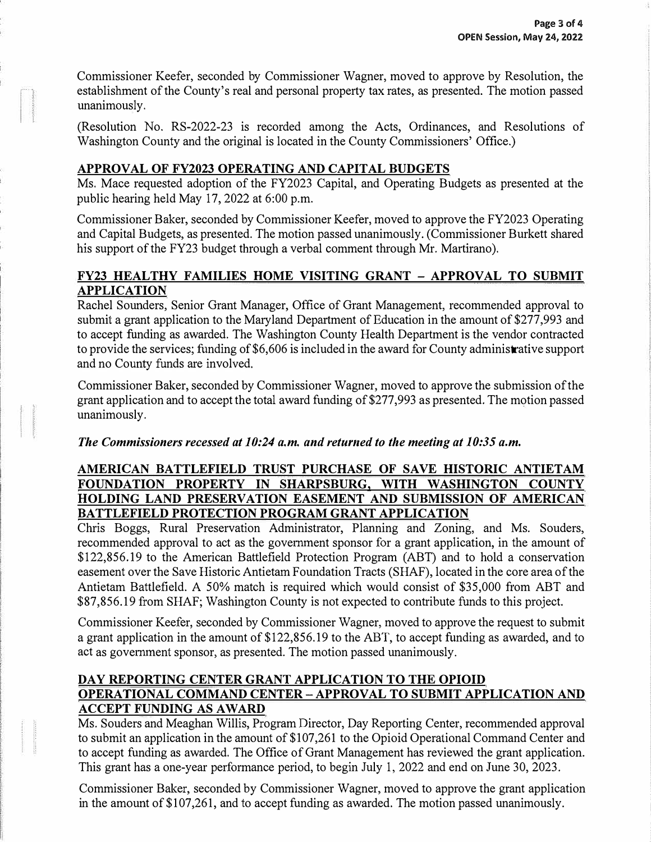Commissioner Keefer, seconded by Commissioner Wagner, moved to approve by Resolution, the establishment of the County's real and personal property tax rates, as presented. The motion passed unanimously.

(Resolution No. RS-2022-23 is recorded among the Acts, Ordinances, and Resolutions of Washington County and the original is located in the County Commissioners' Office.)

## **APPROVAL OF FY2023 OPERATING AND CAPITAL BUDGETS**

Ms. Mace requested adoption of the FY2023 Capital, and Operating Budgets as presented at the public hearing held May 17, 2022 at 6:00 p.m.

Commissioner Baker, seconded by Commissioner Keefer, moved to approve the FY2023 Operating and Capital Budgets, as presented. The motion passed unanimously. (Commissioner Burkett shared his support of the FY23 budget through a verbal comment through Mr. Martirano).

## **FY23 HEALTHY FAMILIES HOME VISITING GRANT - APPROVAL TO SUBMIT APPLICATION**

Rachel Sounders, Senior Grant Manager, Office of Grant Management, recommended approval to submit a grant application to the Maryland Department of Education in the amount of \$277,993 and to accept funding as awarded. The Washington County Health Department is the vendor contracted to provide the services; funding of \$6,606 is included in the award for County administrative support and no County funds are involved.

Commissioner Baker, seconded by Commissioner Wagner, moved to approve the submission of the grant application and to accept the total award funding of\$277,993 as presented. The motion passed unanimously.

## *The Commissioners recessed at 10:24 a.m. and returned to the meeting at 10:35 a.m.*

#### **AMERICAN BATTLEFIELD TRUST PURCHASE OF SAVE HISTORIC ANTIETAM FOUNDATION PROPERTY IN SHARPSBURG, WITH WASHINGTON COUNTY HOLDING LAND PRESERVATION EASEMENT AND SUBMISSION OF AMERICAN BATTLEFIELD PROTECTION PROGRAM GRANT APPLICATION**

Chris Boggs, Rural Preservation Administrator, Planning and Zoning, and Ms. Souders, recommended approval to act as the government sponsor for a grant application, in the amount of \$122,856.19 to the American Battlefield Protection Program (ABT) and to hold a conservation easement over the Save Historic Antietam Foundation Tracts (SHAF), located in the core area of the Antietam Battlefield. A 50% match is required which would consist of \$35,000 from ABT and \$87,856.19 from SHAF; Washington County is not expected to contribute funds to this project.

Commissioner Keefer, seconded by Commissioner Wagner, moved to approve the request to submit a grant application in the amount of \$122,856.19 to the ABT, to accept funding as awarded, and to act as government sponsor, as presented. The motion passed unanimously.

## **DAY REPORTING CENTER GRANT APPLICATION TO THE OPIOID OPERATIONAL COMMAND CENTER-APPROVAL TO SUBMIT APPLICATION AND ACCEPT FUNDING AS AWARD**

Ms. Souders and Meaghan Willis, Program Director, Day Reporting Center, recommended approval to submit an application in the amount of \$107,261 to the Opioid Operational Command Center and to accept funding as awarded. The Office of Grant Management has reviewed the grant application. This grant has a one-year performance period, to begin July 1, 2022 and end on June 30, 2023.

Commissioner Baker, seconded by Commissioner Wagner, moved to approve the grant application in the amount of \$107,261, and to accept funding as awarded. The motion passed unanimously.